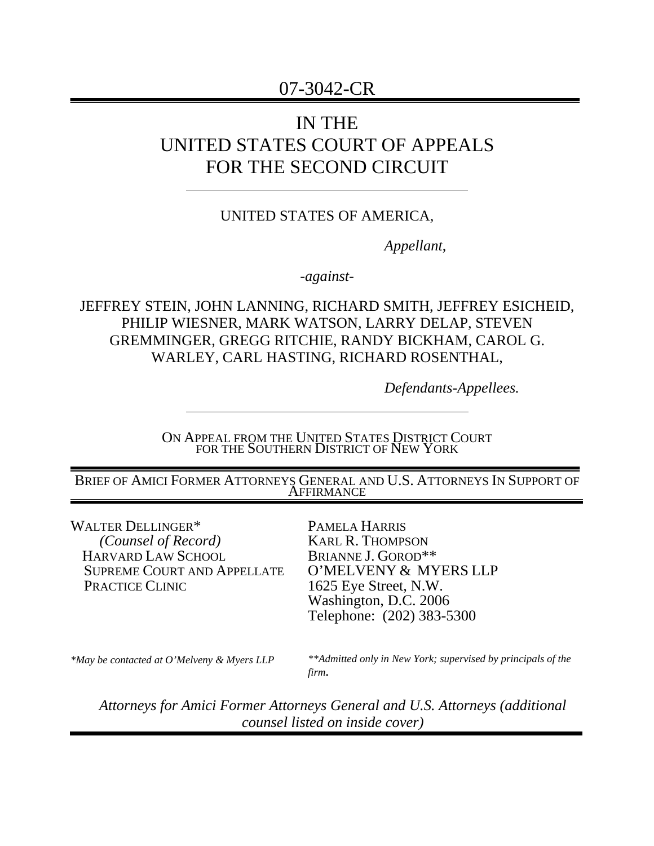# 07-3042-CR

# IN THE UNITED STATES COURT OF APPEALS FOR THE SECOND CIRCUIT

## UNITED STATES OF AMERICA,

*Appellant*,

*-against-*

## JEFFREY STEIN, JOHN LANNING, RICHARD SMITH, JEFFREY ESICHEID, PHILIP WIESNER, MARK WATSON, LARRY DELAP, STEVEN GREMMINGER, GREGG RITCHIE, RANDY BICKHAM, CAROL G. WARLEY, CARL HASTING, RICHARD ROSENTHAL,

*Defendants-Appellees.* 

ON APPEAL FROM THE UNITED STATES DISTRICT COURT FOR THE SOUTHERN DISTRICT OF NEW YORK

BRIEF OF AMICI FORMER ATTORNEYS GENERAL AND U.S. ATTORNEYS IN SUPPORT OF AFFIRMANCE

WALTER DELLINGER\*  *(Counsel of Record)*  HARVARD LAW SCHOOL SUPREME COURT AND APPELLATE PRACTICE CLINIC

PAMELA HARRIS KARL R. THOMPSON BRIANNE J. GOROD\*\* O'MELVENY & MYERS LLP 1625 Eye Street, N.W. Washington, D.C. 2006 Telephone: (202) 383-5300

*\*May be contacted at O'Melveny & Myers LLP* 

*\*\*Admitted only in New York; supervised by principals of the firm.* 

*Attorneys for Amici Former Attorneys General and U.S. Attorneys (additional counsel listed on inside cover)*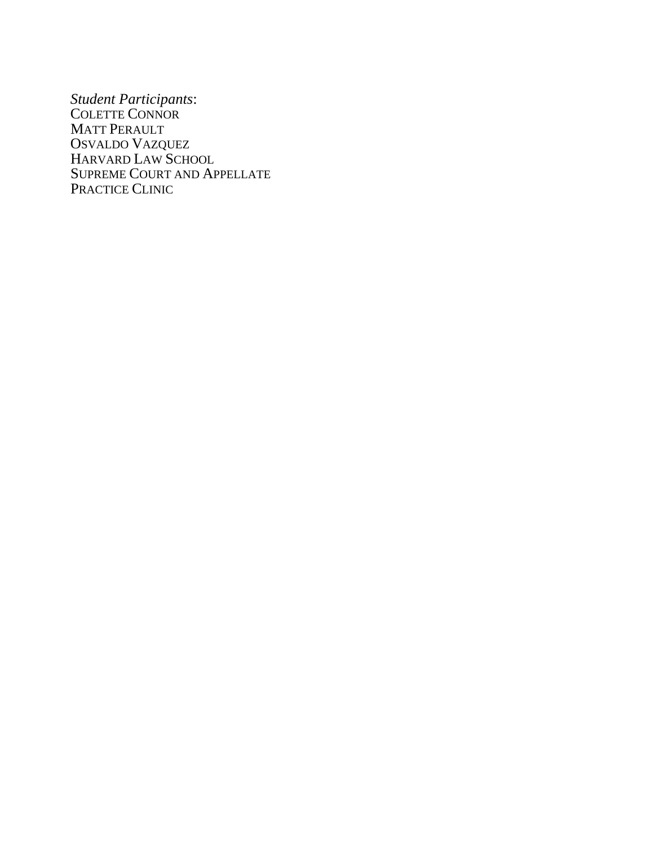*Student Participants*: COLETTE CONNOR MATT PERAULT OSVALDO VAZQUEZ HARVARD LAW SCHOOL SUPREME COURT AND APPELLATE PRACTICE CLINIC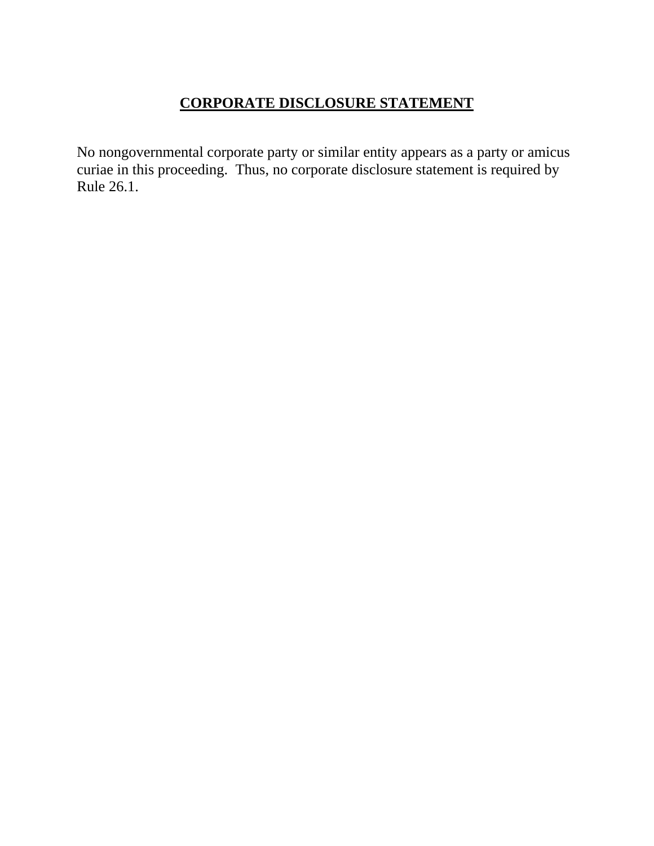# **CORPORATE DISCLOSURE STATEMENT**

No nongovernmental corporate party or similar entity appears as a party or amicus curiae in this proceeding. Thus, no corporate disclosure statement is required by Rule 26.1.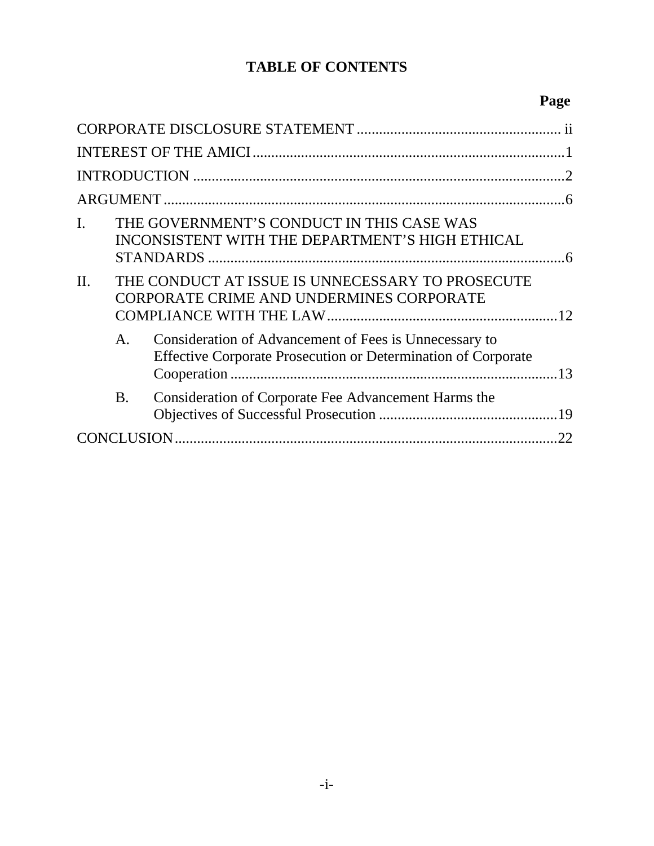# **TABLE OF CONTENTS**

# **Page**

| I.  |                | THE GOVERNMENT'S CONDUCT IN THIS CASE WAS<br>INCONSISTENT WITH THE DEPARTMENT'S HIGH ETHICAL                            |  |  |  |
|-----|----------------|-------------------------------------------------------------------------------------------------------------------------|--|--|--|
| II. |                | THE CONDUCT AT ISSUE IS UNNECESSARY TO PROSECUTE<br>CORPORATE CRIME AND UNDERMINES CORPORATE                            |  |  |  |
|     | $\mathsf{A}$ . | Consideration of Advancement of Fees is Unnecessary to<br>Effective Corporate Prosecution or Determination of Corporate |  |  |  |
|     | <b>B.</b>      | Consideration of Corporate Fee Advancement Harms the                                                                    |  |  |  |
|     | .22            |                                                                                                                         |  |  |  |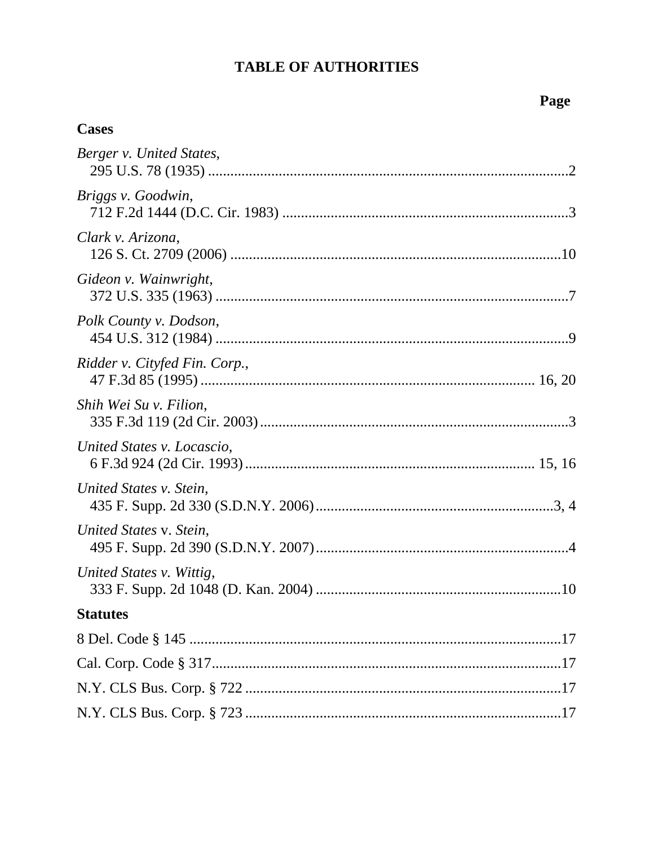# **TABLE OF AUTHORITIES**

## **Cases**

| Berger v. United States,      |
|-------------------------------|
| Briggs v. Goodwin,            |
| Clark v. Arizona,             |
| Gideon v. Wainwright,         |
| Polk County v. Dodson,        |
| Ridder v. Cityfed Fin. Corp., |
| Shih Wei Su v. Filion,        |
| United States v. Locascio,    |
| United States v. Stein,       |
| United States v. Stein,       |
| United States v. Wittig,      |
| <b>Statutes</b>               |
|                               |
|                               |
|                               |
|                               |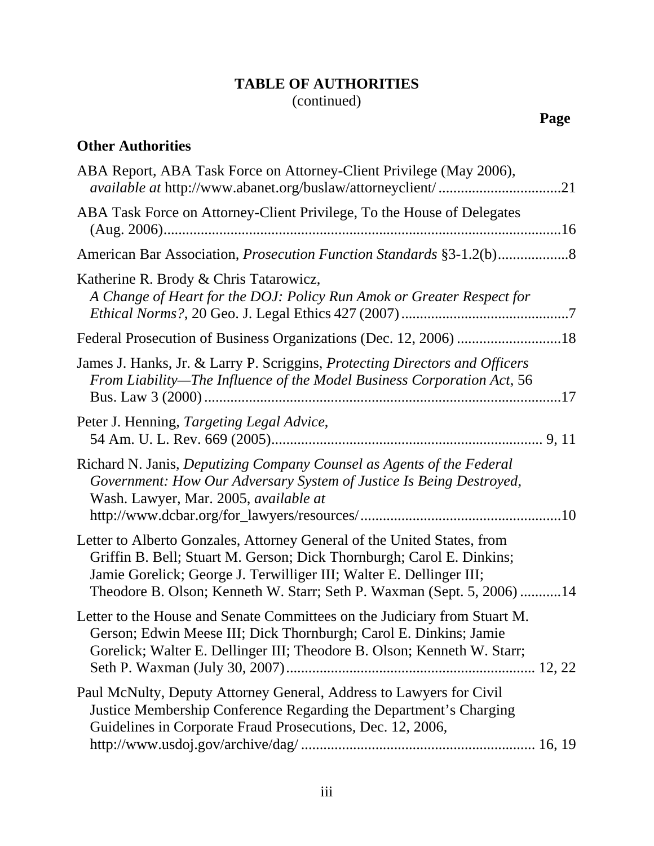## **TABLE OF AUTHORITIES** (continued)

# **Other Authorities**

| ABA Report, ABA Task Force on Attorney-Client Privilege (May 2006),<br>available at http://www.abanet.org/buslaw/attorneyclient/21                                                                                                                                                               |
|--------------------------------------------------------------------------------------------------------------------------------------------------------------------------------------------------------------------------------------------------------------------------------------------------|
| ABA Task Force on Attorney-Client Privilege, To the House of Delegates                                                                                                                                                                                                                           |
|                                                                                                                                                                                                                                                                                                  |
| Katherine R. Brody & Chris Tatarowicz,<br>A Change of Heart for the DOJ: Policy Run Amok or Greater Respect for                                                                                                                                                                                  |
|                                                                                                                                                                                                                                                                                                  |
| James J. Hanks, Jr. & Larry P. Scriggins, Protecting Directors and Officers<br>From Liability—The Influence of the Model Business Corporation Act, 56                                                                                                                                            |
| Peter J. Henning, Targeting Legal Advice,                                                                                                                                                                                                                                                        |
| Richard N. Janis, Deputizing Company Counsel as Agents of the Federal<br>Government: How Our Adversary System of Justice Is Being Destroyed,<br>Wash. Lawyer, Mar. 2005, available at                                                                                                            |
| Letter to Alberto Gonzales, Attorney General of the United States, from<br>Griffin B. Bell; Stuart M. Gerson; Dick Thornburgh; Carol E. Dinkins;<br>Jamie Gorelick; George J. Terwilliger III; Walter E. Dellinger III;<br>Theodore B. Olson; Kenneth W. Starr; Seth P. Waxman (Sept. 5, 2006)14 |
| Letter to the House and Senate Committees on the Judiciary from Stuart M.<br>Gerson; Edwin Meese III; Dick Thornburgh; Carol E. Dinkins; Jamie<br>Gorelick; Walter E. Dellinger III; Theodore B. Olson; Kenneth W. Starr;                                                                        |
| Paul McNulty, Deputy Attorney General, Address to Lawyers for Civil<br>Justice Membership Conference Regarding the Department's Charging<br>Guidelines in Corporate Fraud Prosecutions, Dec. 12, 2006,                                                                                           |
|                                                                                                                                                                                                                                                                                                  |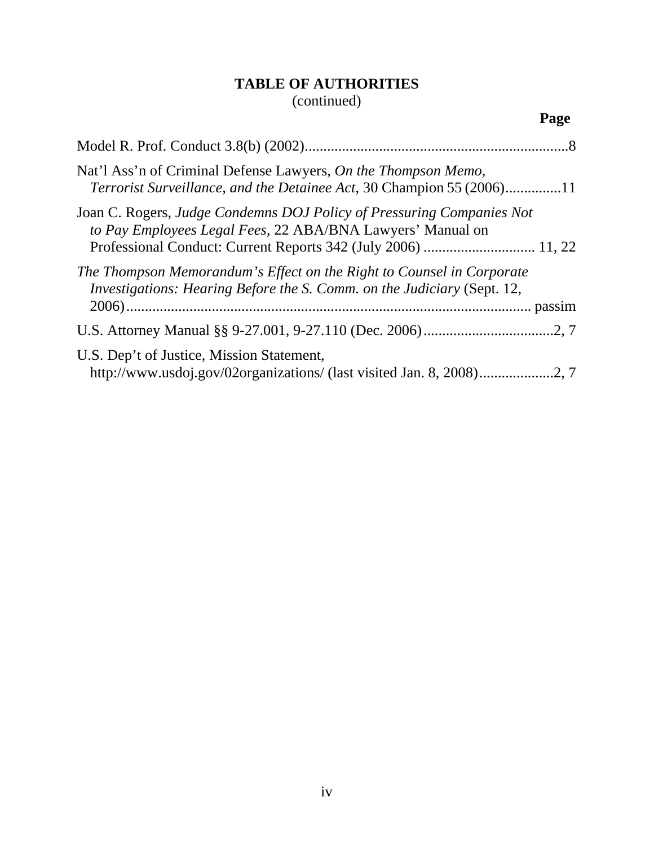## **TABLE OF AUTHORITIES** (continued)

| Nat'l Ass'n of Criminal Defense Lawyers, On the Thompson Memo,<br><i>Terrorist Surveillance, and the Detainee Act, 30 Champion 55 (2006)11</i>   |  |
|--------------------------------------------------------------------------------------------------------------------------------------------------|--|
| Joan C. Rogers, Judge Condemns DOJ Policy of Pressuring Companies Not<br>to Pay Employees Legal Fees, 22 ABA/BNA Lawyers' Manual on              |  |
| The Thompson Memorandum's Effect on the Right to Counsel in Corporate<br>Investigations: Hearing Before the S. Comm. on the Judiciary (Sept. 12, |  |
|                                                                                                                                                  |  |
| U.S. Dep't of Justice, Mission Statement,                                                                                                        |  |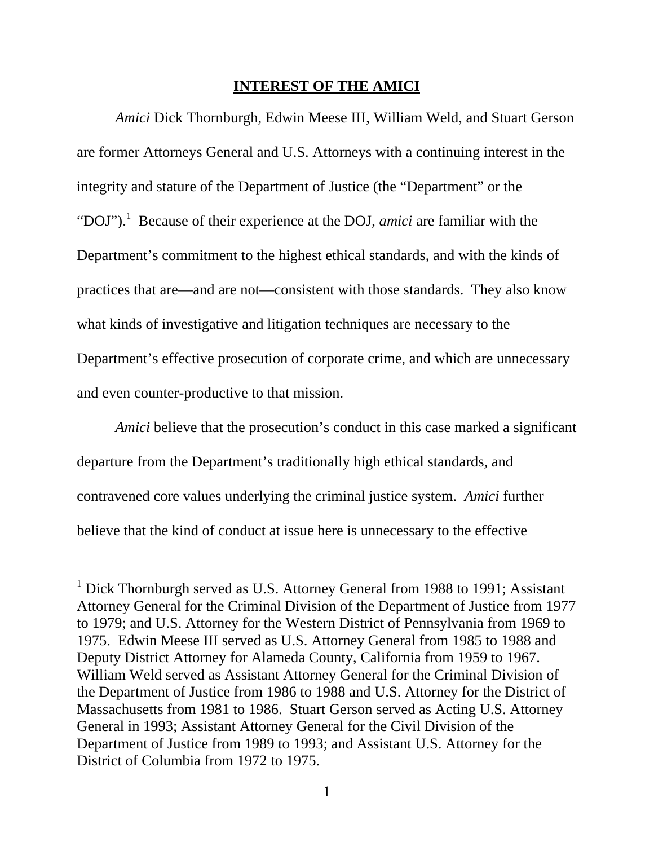#### **INTEREST OF THE AMICI**

*Amici* Dick Thornburgh, Edwin Meese III, William Weld, and Stuart Gerson are former Attorneys General and U.S. Attorneys with a continuing interest in the integrity and stature of the Department of Justice (the "Department" or the "DOJ").<sup>1</sup> Because of their experience at the DOJ, *amici* are familiar with the Department's commitment to the highest ethical standards, and with the kinds of practices that are—and are not—consistent with those standards. They also know what kinds of investigative and litigation techniques are necessary to the Department's effective prosecution of corporate crime, and which are unnecessary and even counter-productive to that mission.

*Amici* believe that the prosecution's conduct in this case marked a significant departure from the Department's traditionally high ethical standards, and contravened core values underlying the criminal justice system. *Amici* further believe that the kind of conduct at issue here is unnecessary to the effective

<sup>&</sup>lt;sup>1</sup> Dick Thornburgh served as U.S. Attorney General from 1988 to 1991; Assistant Attorney General for the Criminal Division of the Department of Justice from 1977 to 1979; and U.S. Attorney for the Western District of Pennsylvania from 1969 to 1975. Edwin Meese III served as U.S. Attorney General from 1985 to 1988 and Deputy District Attorney for Alameda County, California from 1959 to 1967. William Weld served as Assistant Attorney General for the Criminal Division of the Department of Justice from 1986 to 1988 and U.S. Attorney for the District of Massachusetts from 1981 to 1986. Stuart Gerson served as Acting U.S. Attorney General in 1993; Assistant Attorney General for the Civil Division of the Department of Justice from 1989 to 1993; and Assistant U.S. Attorney for the District of Columbia from 1972 to 1975.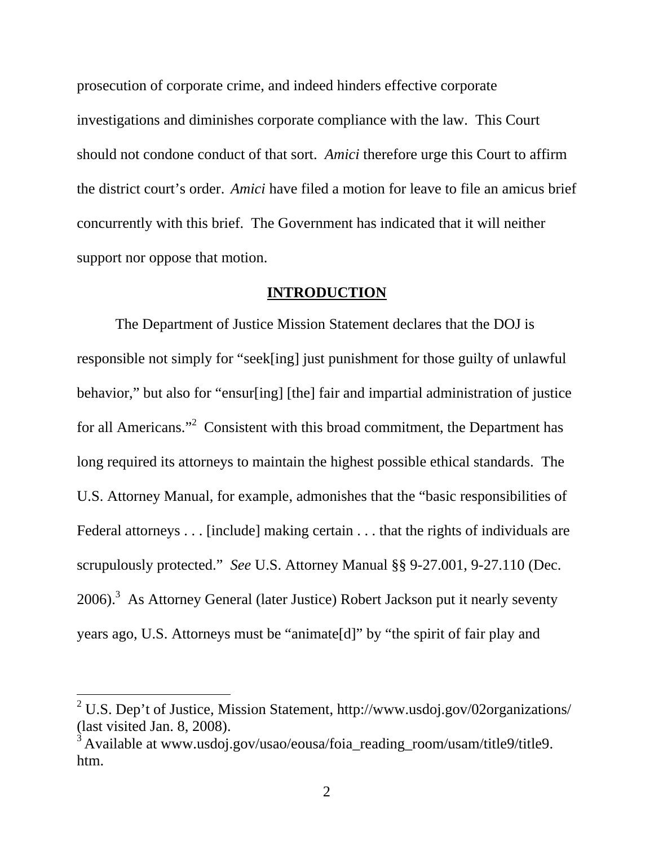prosecution of corporate crime, and indeed hinders effective corporate investigations and diminishes corporate compliance with the law. This Court should not condone conduct of that sort. *Amici* therefore urge this Court to affirm the district court's order. *Amici* have filed a motion for leave to file an amicus brief concurrently with this brief. The Government has indicated that it will neither support nor oppose that motion.

#### **INTRODUCTION**

The Department of Justice Mission Statement declares that the DOJ is responsible not simply for "seek[ing] just punishment for those guilty of unlawful behavior," but also for "ensur[ing] [the] fair and impartial administration of justice for all Americans."<sup>2</sup> Consistent with this broad commitment, the Department has long required its attorneys to maintain the highest possible ethical standards. The U.S. Attorney Manual, for example, admonishes that the "basic responsibilities of Federal attorneys . . . [include] making certain . . . that the rights of individuals are scrupulously protected." *See* U.S. Attorney Manual §§ 9-27.001, 9-27.110 (Dec.  $2006$ ).<sup>3</sup> As Attorney General (later Justice) Robert Jackson put it nearly seventy years ago, U.S. Attorneys must be "animate[d]" by "the spirit of fair play and

<sup>&</sup>lt;sup>2</sup> U.S. Dep't of Justice, Mission Statement, http://www.usdoj.gov/02organizations/ (last visited Jan. 8, 2008).

<sup>&</sup>lt;sup>3</sup> Available at www.usdoj.gov/usao/eousa/foia reading room/usam/title9/title9. htm.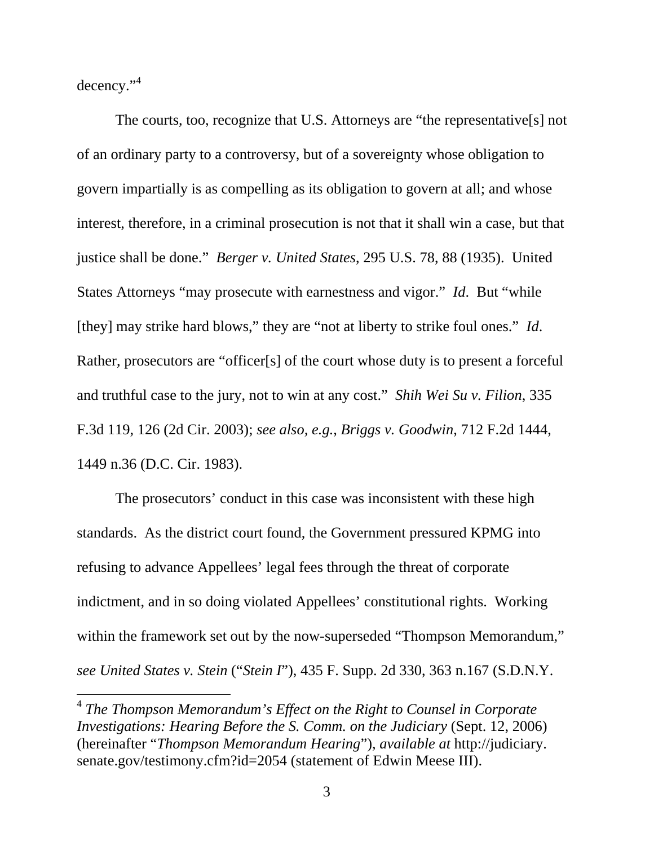decency." $4$ 

 $\overline{a}$ 

The courts, too, recognize that U.S. Attorneys are "the representative[s] not of an ordinary party to a controversy, but of a sovereignty whose obligation to govern impartially is as compelling as its obligation to govern at all; and whose interest, therefore, in a criminal prosecution is not that it shall win a case, but that justice shall be done." *Berger v. United States*, 295 U.S. 78, 88 (1935). United States Attorneys "may prosecute with earnestness and vigor." *Id*. But "while [they] may strike hard blows," they are "not at liberty to strike foul ones." *Id*. Rather, prosecutors are "officer[s] of the court whose duty is to present a forceful and truthful case to the jury, not to win at any cost." *Shih Wei Su v. Filion*, 335 F.3d 119, 126 (2d Cir. 2003); *see also, e.g.*, *Briggs v. Goodwin*, 712 F.2d 1444, 1449 n.36 (D.C. Cir. 1983).

The prosecutors' conduct in this case was inconsistent with these high standards. As the district court found, the Government pressured KPMG into refusing to advance Appellees' legal fees through the threat of corporate indictment, and in so doing violated Appellees' constitutional rights. Working within the framework set out by the now-superseded "Thompson Memorandum," *see United States v. Stein* ("*Stein I*"), 435 F. Supp. 2d 330, 363 n.167 (S.D.N.Y.

<sup>4</sup> *The Thompson Memorandum's Effect on the Right to Counsel in Corporate Investigations: Hearing Before the S. Comm. on the Judiciary* (Sept. 12, 2006) (hereinafter "*Thompson Memorandum Hearing*"), *available at* http://judiciary. senate.gov/testimony.cfm?id=2054 (statement of Edwin Meese III).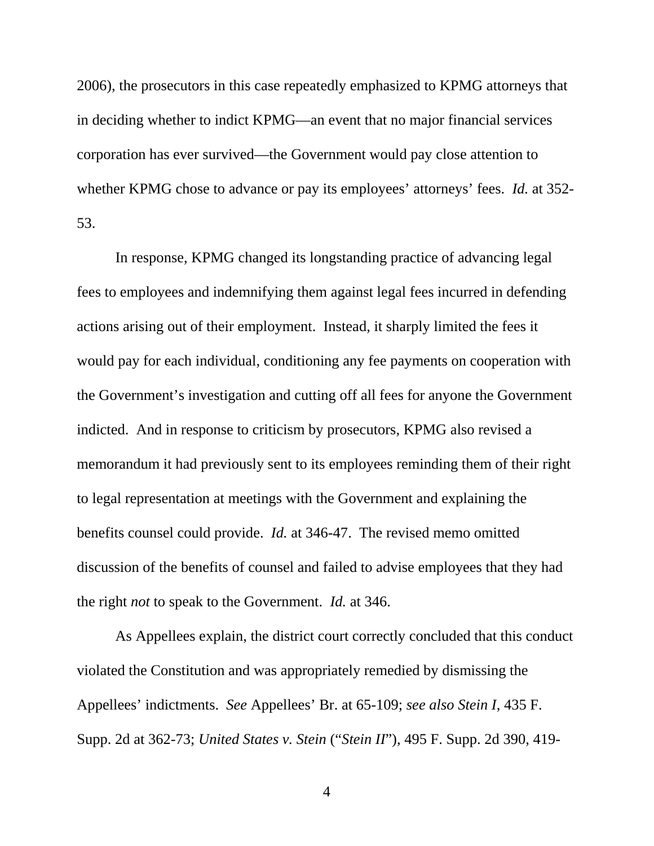2006), the prosecutors in this case repeatedly emphasized to KPMG attorneys that in deciding whether to indict KPMG—an event that no major financial services corporation has ever survived—the Government would pay close attention to whether KPMG chose to advance or pay its employees' attorneys' fees. *Id.* at 352- 53.

In response, KPMG changed its longstanding practice of advancing legal fees to employees and indemnifying them against legal fees incurred in defending actions arising out of their employment. Instead, it sharply limited the fees it would pay for each individual, conditioning any fee payments on cooperation with the Government's investigation and cutting off all fees for anyone the Government indicted. And in response to criticism by prosecutors, KPMG also revised a memorandum it had previously sent to its employees reminding them of their right to legal representation at meetings with the Government and explaining the benefits counsel could provide. *Id.* at 346-47. The revised memo omitted discussion of the benefits of counsel and failed to advise employees that they had the right *not* to speak to the Government. *Id.* at 346.

As Appellees explain, the district court correctly concluded that this conduct violated the Constitution and was appropriately remedied by dismissing the Appellees' indictments. *See* Appellees' Br. at 65-109; *see also Stein I*, 435 F. Supp. 2d at 362-73; *United States v. Stein* ("*Stein II*"), 495 F. Supp. 2d 390, 419-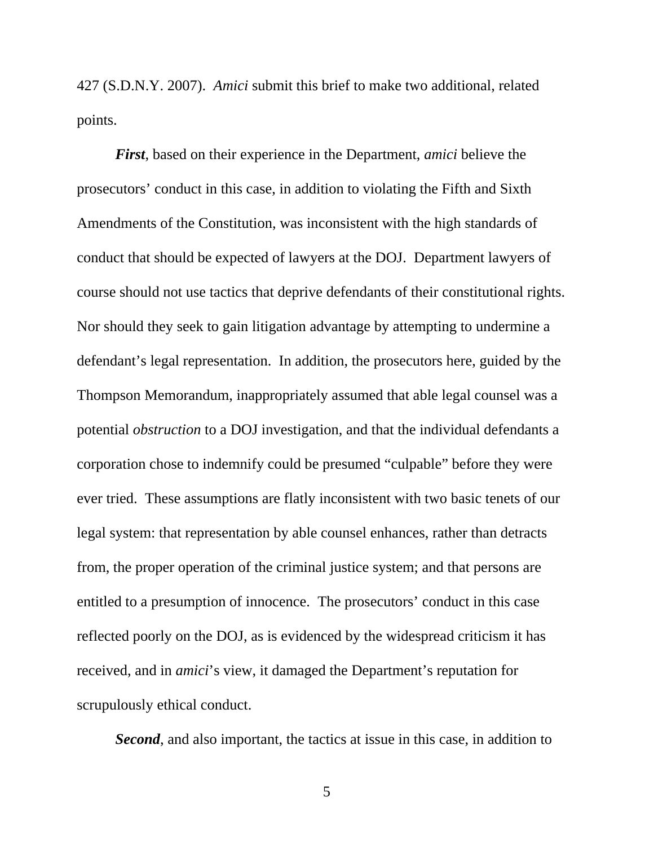427 (S.D.N.Y. 2007). *Amici* submit this brief to make two additional, related points.

*First*, based on their experience in the Department, *amici* believe the prosecutors' conduct in this case, in addition to violating the Fifth and Sixth Amendments of the Constitution, was inconsistent with the high standards of conduct that should be expected of lawyers at the DOJ. Department lawyers of course should not use tactics that deprive defendants of their constitutional rights. Nor should they seek to gain litigation advantage by attempting to undermine a defendant's legal representation. In addition, the prosecutors here, guided by the Thompson Memorandum, inappropriately assumed that able legal counsel was a potential *obstruction* to a DOJ investigation, and that the individual defendants a corporation chose to indemnify could be presumed "culpable" before they were ever tried. These assumptions are flatly inconsistent with two basic tenets of our legal system: that representation by able counsel enhances, rather than detracts from, the proper operation of the criminal justice system; and that persons are entitled to a presumption of innocence. The prosecutors' conduct in this case reflected poorly on the DOJ, as is evidenced by the widespread criticism it has received, and in *amici*'s view, it damaged the Department's reputation for scrupulously ethical conduct.

*Second*, and also important, the tactics at issue in this case, in addition to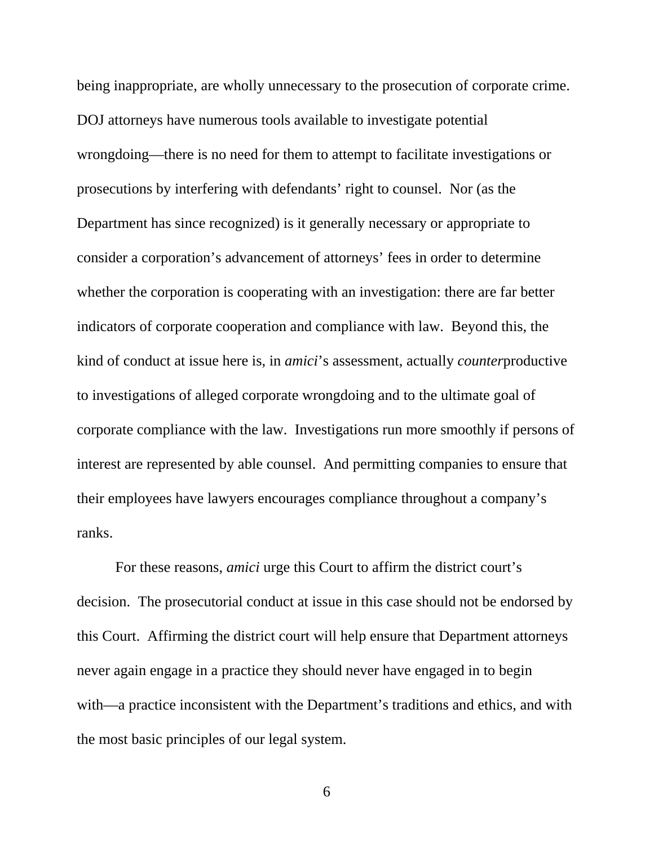being inappropriate, are wholly unnecessary to the prosecution of corporate crime. DOJ attorneys have numerous tools available to investigate potential wrongdoing—there is no need for them to attempt to facilitate investigations or prosecutions by interfering with defendants' right to counsel. Nor (as the Department has since recognized) is it generally necessary or appropriate to consider a corporation's advancement of attorneys' fees in order to determine whether the corporation is cooperating with an investigation: there are far better indicators of corporate cooperation and compliance with law. Beyond this, the kind of conduct at issue here is, in *amici*'s assessment, actually *counter*productive to investigations of alleged corporate wrongdoing and to the ultimate goal of corporate compliance with the law. Investigations run more smoothly if persons of interest are represented by able counsel. And permitting companies to ensure that their employees have lawyers encourages compliance throughout a company's ranks.

For these reasons, *amici* urge this Court to affirm the district court's decision. The prosecutorial conduct at issue in this case should not be endorsed by this Court. Affirming the district court will help ensure that Department attorneys never again engage in a practice they should never have engaged in to begin with—a practice inconsistent with the Department's traditions and ethics, and with the most basic principles of our legal system.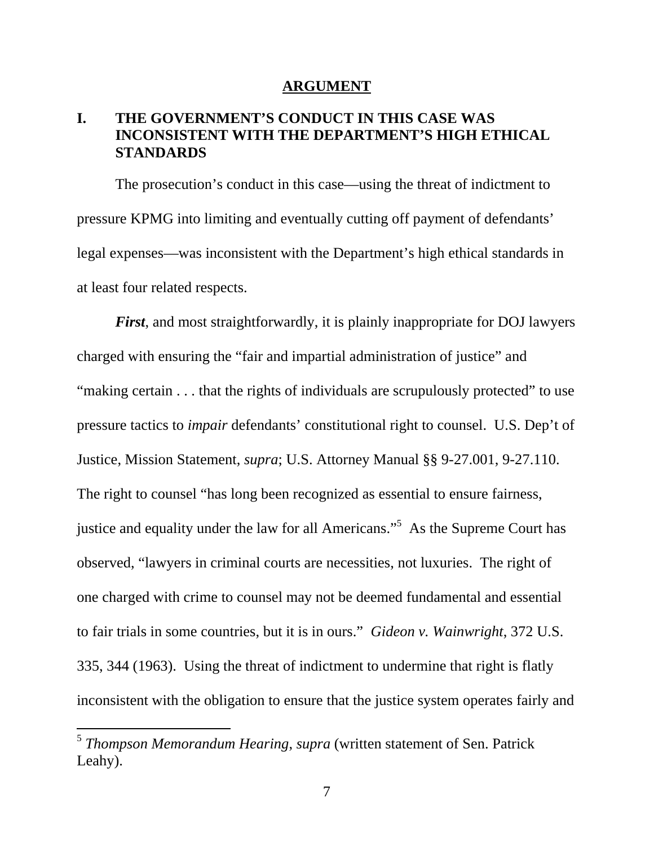#### **ARGUMENT**

## **I. THE GOVERNMENT'S CONDUCT IN THIS CASE WAS INCONSISTENT WITH THE DEPARTMENT'S HIGH ETHICAL STANDARDS**

The prosecution's conduct in this case—using the threat of indictment to pressure KPMG into limiting and eventually cutting off payment of defendants' legal expenses—was inconsistent with the Department's high ethical standards in at least four related respects.

*First*, and most straightforwardly, it is plainly inappropriate for DOJ lawyers charged with ensuring the "fair and impartial administration of justice" and "making certain . . . that the rights of individuals are scrupulously protected" to use pressure tactics to *impair* defendants' constitutional right to counsel. U.S. Dep't of Justice, Mission Statement, *supra*; U.S. Attorney Manual §§ 9-27.001, 9-27.110. The right to counsel "has long been recognized as essential to ensure fairness, justice and equality under the law for all Americans."<sup>5</sup> As the Supreme Court has observed, "lawyers in criminal courts are necessities, not luxuries. The right of one charged with crime to counsel may not be deemed fundamental and essential to fair trials in some countries, but it is in ours." *Gideon v. Wainwright*, 372 U.S. 335, 344 (1963). Using the threat of indictment to undermine that right is flatly inconsistent with the obligation to ensure that the justice system operates fairly and

<sup>5</sup> *Thompson Memorandum Hearing*, *supra* (written statement of Sen. Patrick Leahy).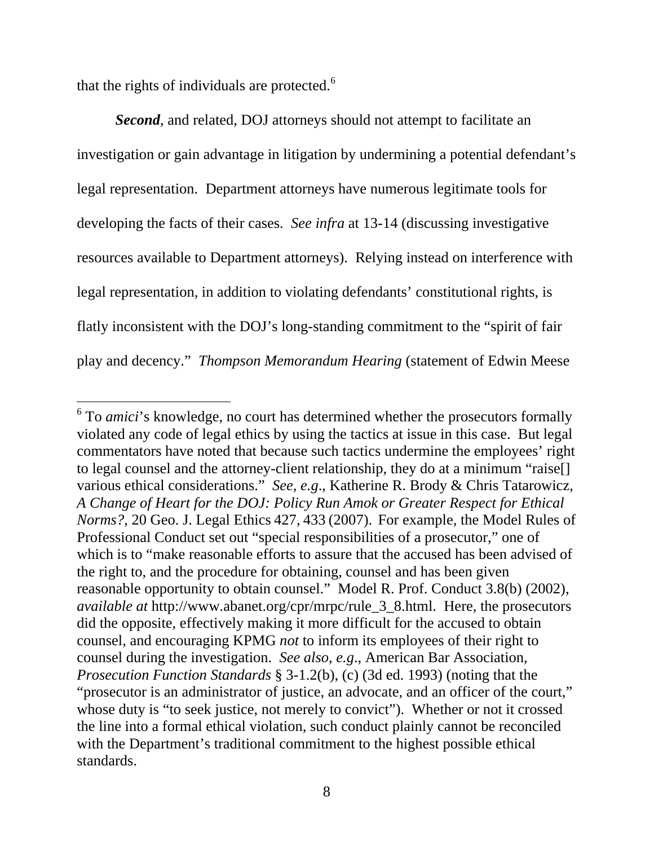that the rights of individuals are protected.<sup>6</sup>

 $\overline{a}$ 

*Second*, and related, DOJ attorneys should not attempt to facilitate an investigation or gain advantage in litigation by undermining a potential defendant's legal representation. Department attorneys have numerous legitimate tools for developing the facts of their cases. *See infra* at 13-14 (discussing investigative resources available to Department attorneys). Relying instead on interference with legal representation, in addition to violating defendants' constitutional rights, is flatly inconsistent with the DOJ's long-standing commitment to the "spirit of fair play and decency." *Thompson Memorandum Hearing* (statement of Edwin Meese

<sup>&</sup>lt;sup>6</sup> To *amici*'s knowledge, no court has determined whether the prosecutors formally violated any code of legal ethics by using the tactics at issue in this case. But legal commentators have noted that because such tactics undermine the employees' right to legal counsel and the attorney-client relationship, they do at a minimum "raise[] various ethical considerations." *See, e.g*., Katherine R. Brody & Chris Tatarowicz, *A Change of Heart for the DOJ: Policy Run Amok or Greater Respect for Ethical Norms?*, 20 Geo. J. Legal Ethics 427, 433 (2007). For example, the Model Rules of Professional Conduct set out "special responsibilities of a prosecutor," one of which is to "make reasonable efforts to assure that the accused has been advised of the right to, and the procedure for obtaining, counsel and has been given reasonable opportunity to obtain counsel." Model R. Prof. Conduct 3.8(b) (2002), *available at* http://www.abanet.org/cpr/mrpc/rule\_3\_8.html. Here, the prosecutors did the opposite, effectively making it more difficult for the accused to obtain counsel, and encouraging KPMG *not* to inform its employees of their right to counsel during the investigation. *See also, e.g*., American Bar Association, *Prosecution Function Standards* § 3-1.2(b), (c) (3d ed. 1993) (noting that the "prosecutor is an administrator of justice, an advocate, and an officer of the court," whose duty is "to seek justice, not merely to convict"). Whether or not it crossed the line into a formal ethical violation, such conduct plainly cannot be reconciled with the Department's traditional commitment to the highest possible ethical standards.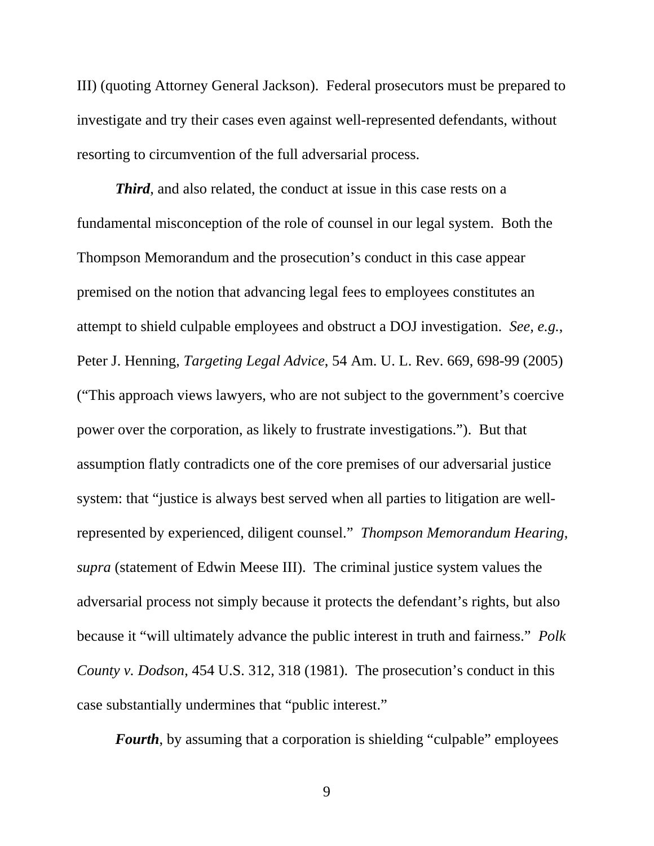III) (quoting Attorney General Jackson). Federal prosecutors must be prepared to investigate and try their cases even against well-represented defendants, without resorting to circumvention of the full adversarial process.

*Third*, and also related, the conduct at issue in this case rests on a fundamental misconception of the role of counsel in our legal system. Both the Thompson Memorandum and the prosecution's conduct in this case appear premised on the notion that advancing legal fees to employees constitutes an attempt to shield culpable employees and obstruct a DOJ investigation. *See, e.g.*, Peter J. Henning, *Targeting Legal Advice*, 54 Am. U. L. Rev. 669, 698-99 (2005) ("This approach views lawyers, who are not subject to the government's coercive power over the corporation, as likely to frustrate investigations."). But that assumption flatly contradicts one of the core premises of our adversarial justice system: that "justice is always best served when all parties to litigation are wellrepresented by experienced, diligent counsel." *Thompson Memorandum Hearing*, *supra* (statement of Edwin Meese III). The criminal justice system values the adversarial process not simply because it protects the defendant's rights, but also because it "will ultimately advance the public interest in truth and fairness." *Polk County v. Dodson*, 454 U.S. 312, 318 (1981). The prosecution's conduct in this case substantially undermines that "public interest."

*Fourth*, by assuming that a corporation is shielding "culpable" employees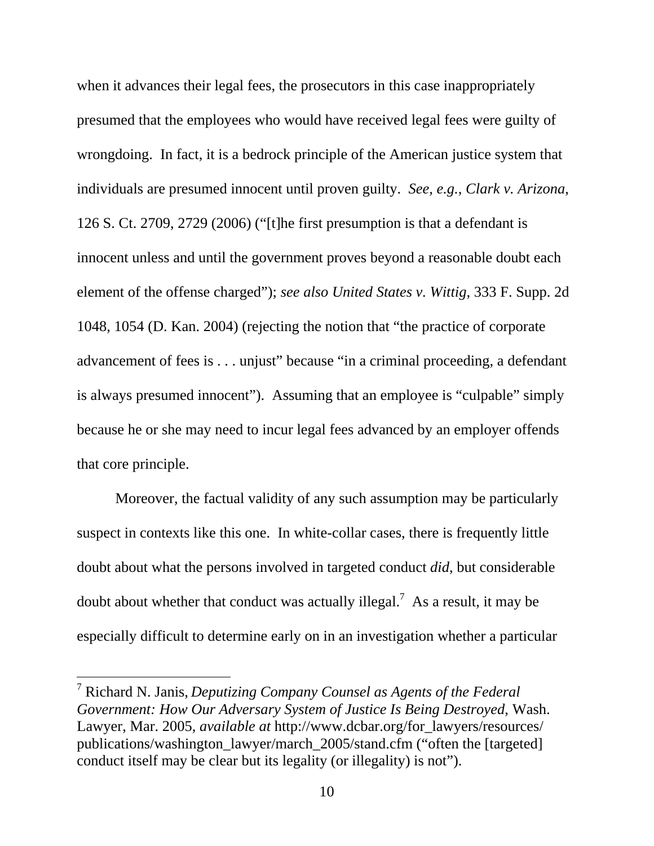when it advances their legal fees, the prosecutors in this case inappropriately presumed that the employees who would have received legal fees were guilty of wrongdoing. In fact, it is a bedrock principle of the American justice system that individuals are presumed innocent until proven guilty. *See, e.g.*, *Clark v. Arizona*, 126 S. Ct. 2709, 2729 (2006) ("[t]he first presumption is that a defendant is innocent unless and until the government proves beyond a reasonable doubt each element of the offense charged"); *see also United States v. Wittig*, 333 F. Supp. 2d 1048, 1054 (D. Kan. 2004) (rejecting the notion that "the practice of corporate advancement of fees is . . . unjust" because "in a criminal proceeding, a defendant is always presumed innocent"). Assuming that an employee is "culpable" simply because he or she may need to incur legal fees advanced by an employer offends that core principle.

Moreover, the factual validity of any such assumption may be particularly suspect in contexts like this one. In white-collar cases, there is frequently little doubt about what the persons involved in targeted conduct *did*, but considerable doubt about whether that conduct was actually illegal.<sup>7</sup> As a result, it may be especially difficult to determine early on in an investigation whether a particular

<sup>7</sup> Richard N. Janis, *Deputizing Company Counsel as Agents of the Federal Government: How Our Adversary System of Justice Is Being Destroyed*, Wash. Lawyer, Mar. 2005, *available at* http://www.dcbar.org/for\_lawyers/resources/ publications/washington\_lawyer/march\_2005/stand.cfm ("often the [targeted] conduct itself may be clear but its legality (or illegality) is not").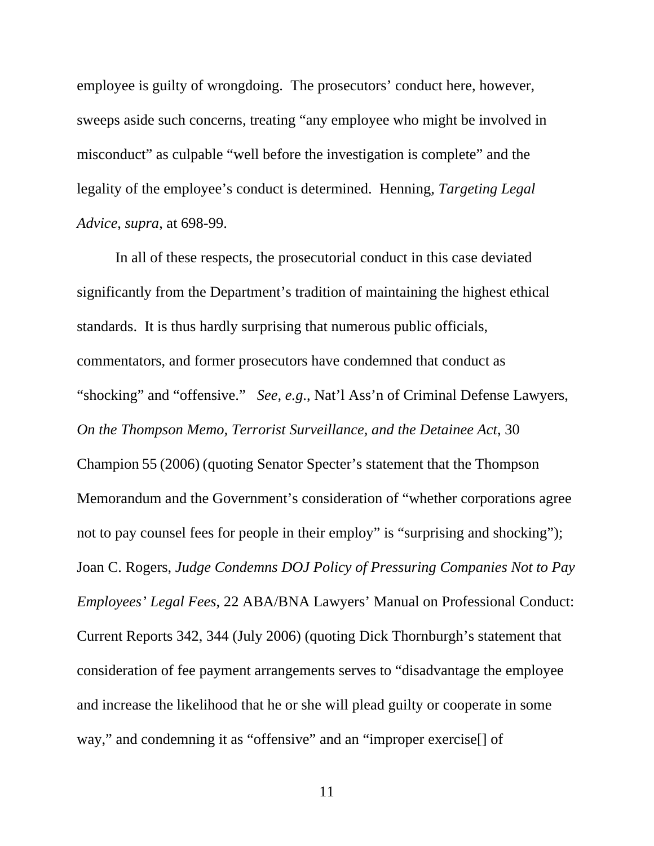employee is guilty of wrongdoing. The prosecutors' conduct here, however, sweeps aside such concerns, treating "any employee who might be involved in misconduct" as culpable "well before the investigation is complete" and the legality of the employee's conduct is determined. Henning, *Targeting Legal Advice*, *supra*, at 698-99.

In all of these respects, the prosecutorial conduct in this case deviated significantly from the Department's tradition of maintaining the highest ethical standards. It is thus hardly surprising that numerous public officials, commentators, and former prosecutors have condemned that conduct as "shocking" and "offensive." *See, e.g*., Nat'l Ass'n of Criminal Defense Lawyers, *On the Thompson Memo, Terrorist Surveillance, and the Detainee Act*, 30 Champion 55 (2006) (quoting Senator Specter's statement that the Thompson Memorandum and the Government's consideration of "whether corporations agree not to pay counsel fees for people in their employ" is "surprising and shocking"); Joan C. Rogers, *Judge Condemns DOJ Policy of Pressuring Companies Not to Pay Employees' Legal Fees*, 22 ABA/BNA Lawyers' Manual on Professional Conduct: Current Reports 342, 344 (July 2006) (quoting Dick Thornburgh's statement that consideration of fee payment arrangements serves to "disadvantage the employee and increase the likelihood that he or she will plead guilty or cooperate in some way," and condemning it as "offensive" and an "improper exercise<sup>[]</sup> of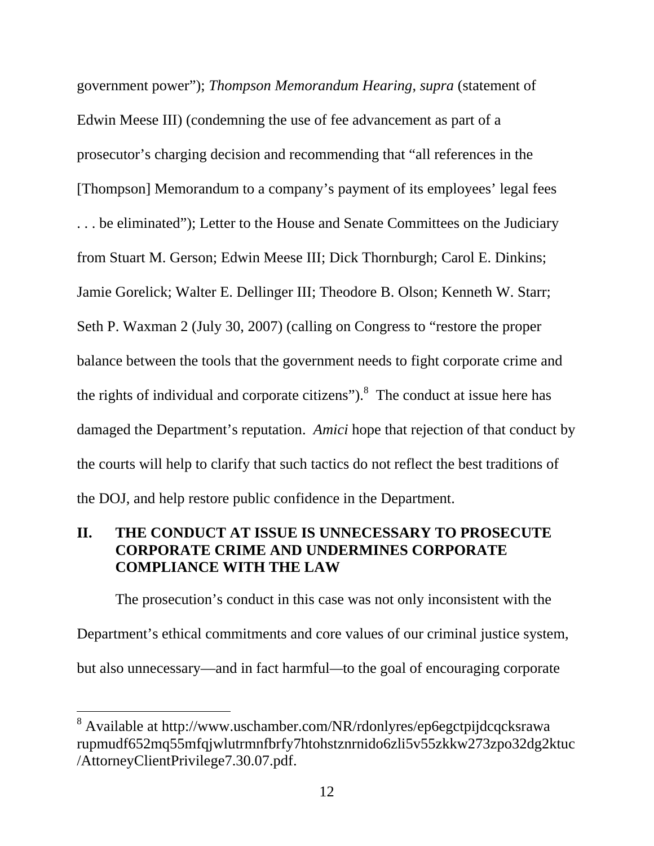government power"); *Thompson Memorandum Hearing*, *supra* (statement of Edwin Meese III) (condemning the use of fee advancement as part of a prosecutor's charging decision and recommending that "all references in the [Thompson] Memorandum to a company's payment of its employees' legal fees . . . be eliminated"); Letter to the House and Senate Committees on the Judiciary from Stuart M. Gerson; Edwin Meese III; Dick Thornburgh; Carol E. Dinkins; Jamie Gorelick; Walter E. Dellinger III; Theodore B. Olson; Kenneth W. Starr; Seth P. Waxman 2 (July 30, 2007) (calling on Congress to "restore the proper balance between the tools that the government needs to fight corporate crime and the rights of individual and corporate citizens"). $8$  The conduct at issue here has damaged the Department's reputation. *Amici* hope that rejection of that conduct by the courts will help to clarify that such tactics do not reflect the best traditions of the DOJ, and help restore public confidence in the Department.

### **II. THE CONDUCT AT ISSUE IS UNNECESSARY TO PROSECUTE CORPORATE CRIME AND UNDERMINES CORPORATE COMPLIANCE WITH THE LAW**

The prosecution's conduct in this case was not only inconsistent with the Department's ethical commitments and core values of our criminal justice system, but also unnecessary—and in fact harmful*—*to the goal of encouraging corporate

<sup>&</sup>lt;sup>8</sup> Available at http://www.uschamber.com/NR/rdonlyres/ep6egctpijdcqcksrawa rupmudf652mq55mfqjwlutrmnfbrfy7htohstznrnido6zli5v55zkkw273zpo32dg2ktuc /AttorneyClientPrivilege7.30.07.pdf.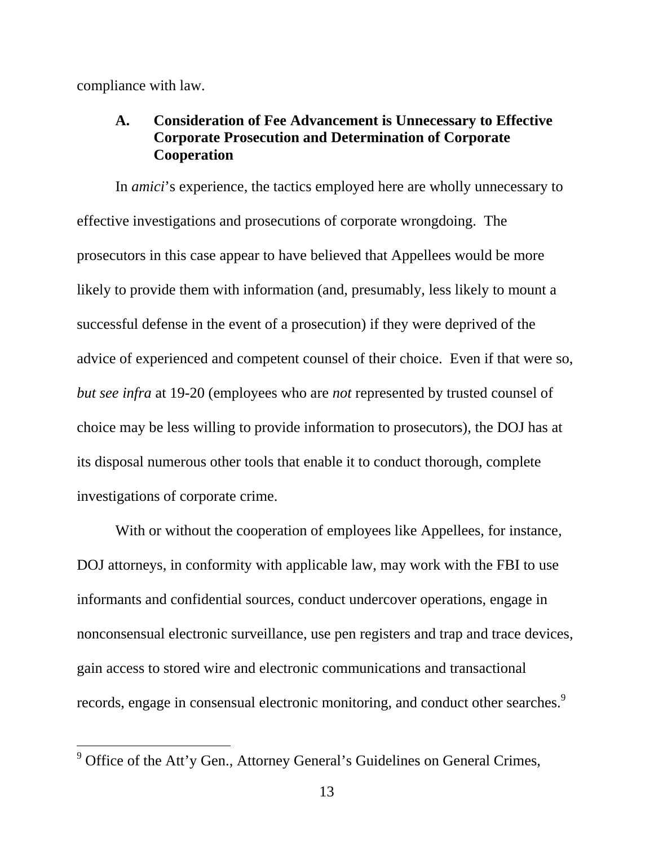compliance with law.

 $\overline{a}$ 

### **A. Consideration of Fee Advancement is Unnecessary to Effective Corporate Prosecution and Determination of Corporate Cooperation**

In *amici*'s experience, the tactics employed here are wholly unnecessary to effective investigations and prosecutions of corporate wrongdoing. The prosecutors in this case appear to have believed that Appellees would be more likely to provide them with information (and, presumably, less likely to mount a successful defense in the event of a prosecution) if they were deprived of the advice of experienced and competent counsel of their choice. Even if that were so, *but see infra* at 19-20 (employees who are *not* represented by trusted counsel of choice may be less willing to provide information to prosecutors), the DOJ has at its disposal numerous other tools that enable it to conduct thorough, complete investigations of corporate crime.

With or without the cooperation of employees like Appellees, for instance, DOJ attorneys, in conformity with applicable law, may work with the FBI to use informants and confidential sources, conduct undercover operations, engage in nonconsensual electronic surveillance, use pen registers and trap and trace devices, gain access to stored wire and electronic communications and transactional records, engage in consensual electronic monitoring, and conduct other searches.<sup>9</sup>

 $9^9$  Office of the Att'y Gen., Attorney General's Guidelines on General Crimes,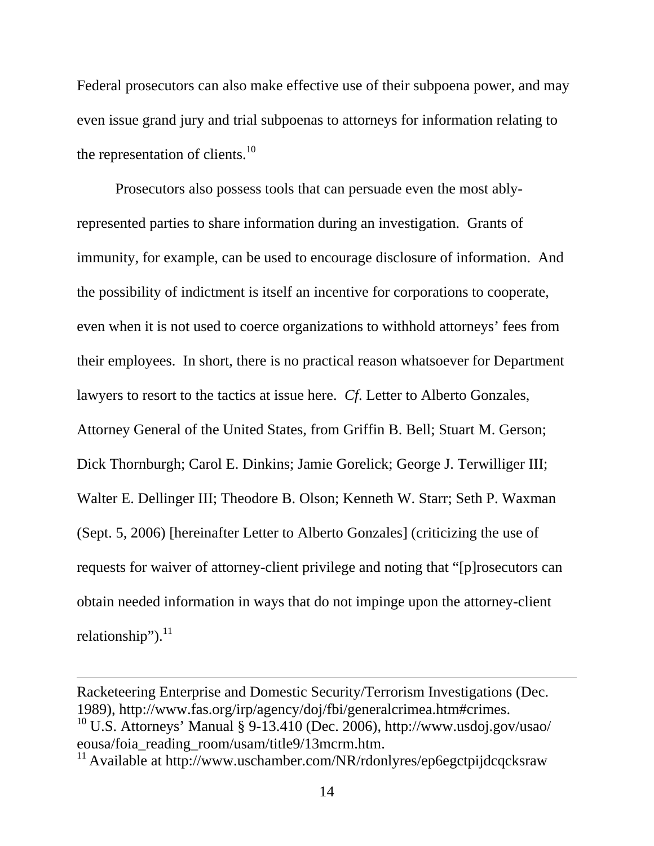Federal prosecutors can also make effective use of their subpoena power, and may even issue grand jury and trial subpoenas to attorneys for information relating to the representation of clients. $^{10}$ 

Prosecutors also possess tools that can persuade even the most ablyrepresented parties to share information during an investigation. Grants of immunity, for example, can be used to encourage disclosure of information. And the possibility of indictment is itself an incentive for corporations to cooperate, even when it is not used to coerce organizations to withhold attorneys' fees from their employees. In short, there is no practical reason whatsoever for Department lawyers to resort to the tactics at issue here. *Cf*. Letter to Alberto Gonzales, Attorney General of the United States, from Griffin B. Bell; Stuart M. Gerson; Dick Thornburgh; Carol E. Dinkins; Jamie Gorelick; George J. Terwilliger III; Walter E. Dellinger III; Theodore B. Olson; Kenneth W. Starr; Seth P. Waxman (Sept. 5, 2006) [hereinafter Letter to Alberto Gonzales] (criticizing the use of requests for waiver of attorney-client privilege and noting that "[p]rosecutors can obtain needed information in ways that do not impinge upon the attorney-client relationship"). $^{11}$ 

Racketeering Enterprise and Domestic Security/Terrorism Investigations (Dec. 1989), http://www.fas.org/irp/agency/doj/fbi/generalcrimea.htm#crimes.

 $^{10}$  U.S. Attorneys' Manual § 9-13.410 (Dec. 2006), http://www.usdoj.gov/usao/ eousa/foia\_reading\_room/usam/title9/13mcrm.htm.

<sup>&</sup>lt;sup>11</sup> Available at http://www.uschamber.com/NR/rdonlyres/ep6egctpijdcqcksraw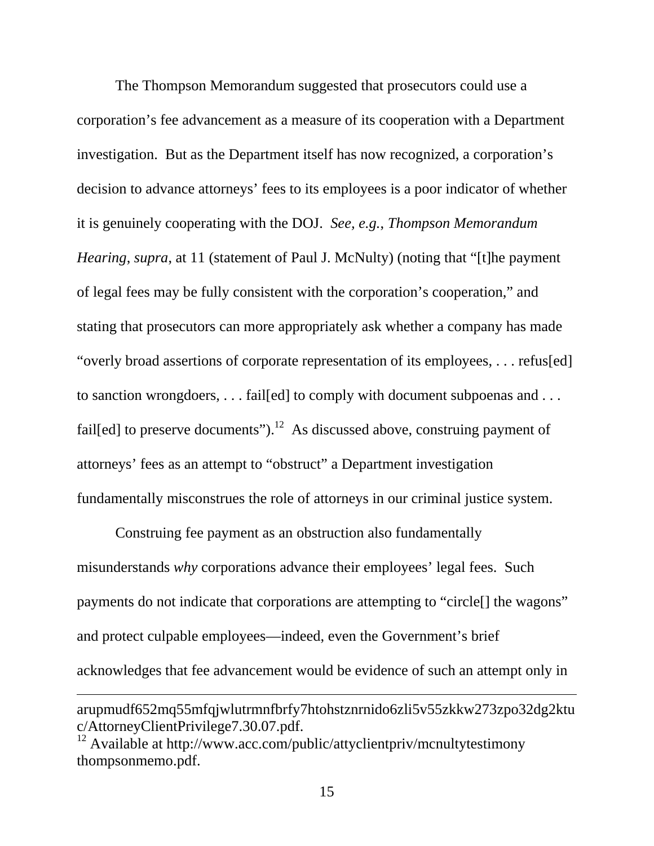The Thompson Memorandum suggested that prosecutors could use a corporation's fee advancement as a measure of its cooperation with a Department investigation. But as the Department itself has now recognized, a corporation's decision to advance attorneys' fees to its employees is a poor indicator of whether it is genuinely cooperating with the DOJ. *See, e.g.*, *Thompson Memorandum Hearing*, *supra*, at 11 (statement of Paul J. McNulty) (noting that "[t]he payment of legal fees may be fully consistent with the corporation's cooperation," and stating that prosecutors can more appropriately ask whether a company has made "overly broad assertions of corporate representation of its employees, . . . refus[ed] to sanction wrongdoers, . . . fail[ed] to comply with document subpoenas and . . . fail[ed] to preserve documents").<sup>12</sup> As discussed above, construing payment of attorneys' fees as an attempt to "obstruct" a Department investigation fundamentally misconstrues the role of attorneys in our criminal justice system.

Construing fee payment as an obstruction also fundamentally misunderstands *why* corporations advance their employees' legal fees. Such payments do not indicate that corporations are attempting to "circle[] the wagons" and protect culpable employees—indeed, even the Government's brief acknowledges that fee advancement would be evidence of such an attempt only in  $\overline{a}$ arupmudf652mq55mfqjwlutrmnfbrfy7htohstznrnido6zli5v55zkkw273zpo32dg2ktu c/AttorneyClientPrivilege7.30.07.pdf.

<sup>&</sup>lt;sup>12</sup> Available at http://www.acc.com/public/attyclientpriv/mcnultytestimony thompsonmemo.pdf.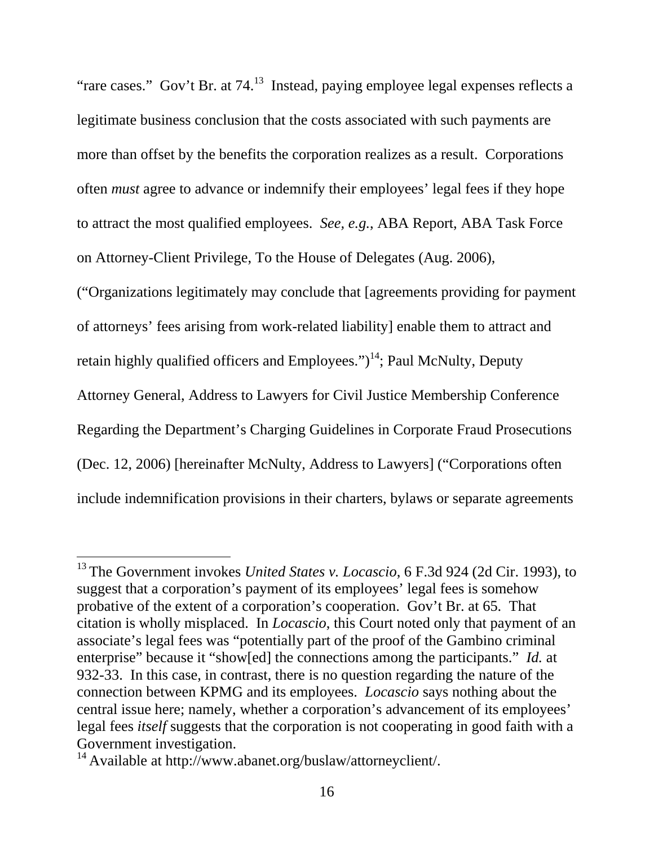"rare cases." Gov't Br. at  $74<sup>13</sup>$  Instead, paying employee legal expenses reflects a legitimate business conclusion that the costs associated with such payments are more than offset by the benefits the corporation realizes as a result. Corporations often *must* agree to advance or indemnify their employees' legal fees if they hope to attract the most qualified employees. *See, e.g.*, ABA Report, ABA Task Force on Attorney-Client Privilege, To the House of Delegates (Aug. 2006),

("Organizations legitimately may conclude that [agreements providing for payment of attorneys' fees arising from work-related liability] enable them to attract and retain highly qualified officers and Employees." $)^{14}$ ; Paul McNulty, Deputy Attorney General, Address to Lawyers for Civil Justice Membership Conference Regarding the Department's Charging Guidelines in Corporate Fraud Prosecutions (Dec. 12, 2006) [hereinafter McNulty, Address to Lawyers] ("Corporations often include indemnification provisions in their charters, bylaws or separate agreements

<sup>&</sup>lt;sup>13</sup> The Government invokes *United States v. Locascio*, 6 F.3d 924 (2d Cir. 1993), to suggest that a corporation's payment of its employees' legal fees is somehow probative of the extent of a corporation's cooperation. Gov't Br. at 65. That citation is wholly misplaced. In *Locascio*, this Court noted only that payment of an associate's legal fees was "potentially part of the proof of the Gambino criminal enterprise" because it "show[ed] the connections among the participants." *Id.* at 932-33. In this case, in contrast, there is no question regarding the nature of the connection between KPMG and its employees. *Locascio* says nothing about the central issue here; namely, whether a corporation's advancement of its employees' legal fees *itself* suggests that the corporation is not cooperating in good faith with a Government investigation.

<sup>&</sup>lt;sup>14</sup> Available at http://www.abanet.org/buslaw/attorneyclient/.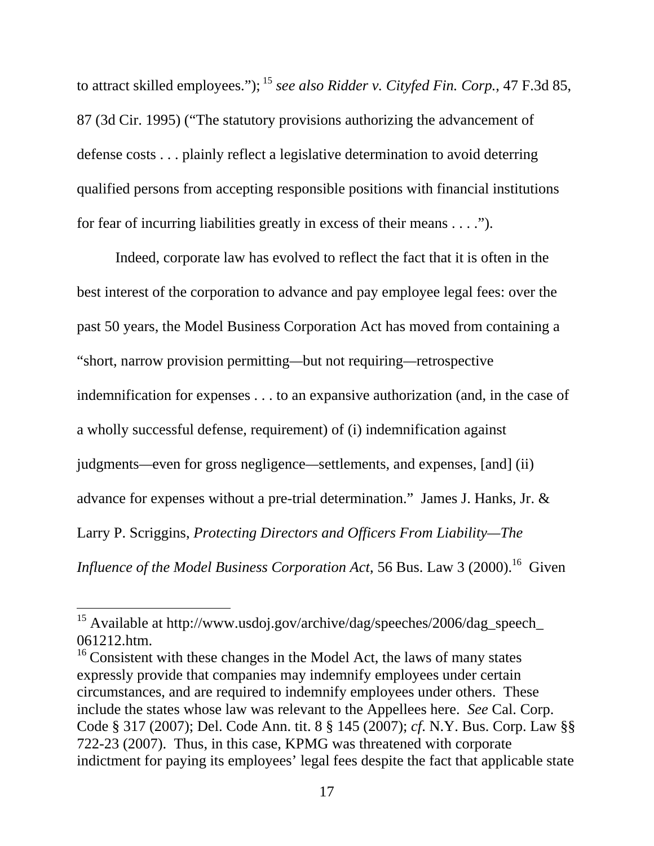to attract skilled employees."); 15 *see also Ridder v. Cityfed Fin. Corp.*, 47 F.3d 85, 87 (3d Cir. 1995) ("The statutory provisions authorizing the advancement of defense costs . . . plainly reflect a legislative determination to avoid deterring qualified persons from accepting responsible positions with financial institutions for fear of incurring liabilities greatly in excess of their means . . . .").

Indeed, corporate law has evolved to reflect the fact that it is often in the best interest of the corporation to advance and pay employee legal fees: over the past 50 years, the Model Business Corporation Act has moved from containing a "short, narrow provision permitting*—*but not requiring*—*retrospective indemnification for expenses . . . to an expansive authorization (and, in the case of a wholly successful defense, requirement) of (i) indemnification against judgments*—*even for gross negligence*—*settlements, and expenses, [and] (ii) advance for expenses without a pre-trial determination." James J. Hanks, Jr. & Larry P. Scriggins, *Protecting Directors and Officers From Liability—The Influence of the Model Business Corporation Act*, 56 Bus. Law 3 (2000).<sup>16</sup> Given

<sup>&</sup>lt;sup>15</sup> Available at http://www.usdoj.gov/archive/dag/speeches/2006/dag\_speech\_ 061212.htm.

 $16$  Consistent with these changes in the Model Act, the laws of many states expressly provide that companies may indemnify employees under certain circumstances, and are required to indemnify employees under others. These include the states whose law was relevant to the Appellees here. *See* Cal. Corp. Code § 317 (2007); Del. Code Ann. tit. 8 § 145 (2007); *cf*. N.Y. Bus. Corp. Law §§ 722-23 (2007). Thus, in this case, KPMG was threatened with corporate indictment for paying its employees' legal fees despite the fact that applicable state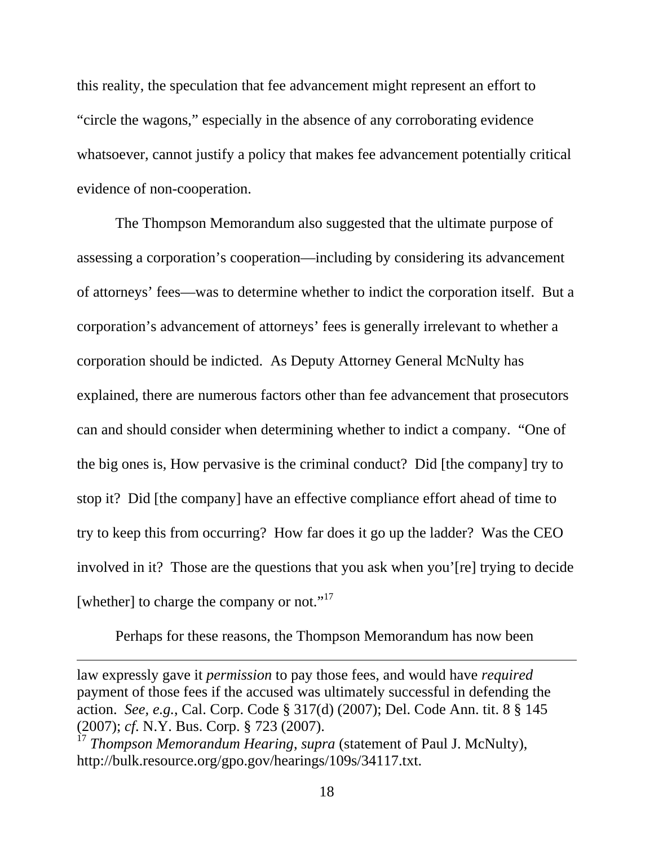this reality, the speculation that fee advancement might represent an effort to "circle the wagons," especially in the absence of any corroborating evidence whatsoever, cannot justify a policy that makes fee advancement potentially critical evidence of non-cooperation.

The Thompson Memorandum also suggested that the ultimate purpose of assessing a corporation's cooperation—including by considering its advancement of attorneys' fees—was to determine whether to indict the corporation itself. But a corporation's advancement of attorneys' fees is generally irrelevant to whether a corporation should be indicted. As Deputy Attorney General McNulty has explained, there are numerous factors other than fee advancement that prosecutors can and should consider when determining whether to indict a company. "One of the big ones is, How pervasive is the criminal conduct? Did [the company] try to stop it? Did [the company] have an effective compliance effort ahead of time to try to keep this from occurring? How far does it go up the ladder? Was the CEO involved in it? Those are the questions that you ask when you'[re] trying to decide [whether] to charge the company or not."<sup>17</sup>

Perhaps for these reasons, the Thompson Memorandum has now been

law expressly gave it *permission* to pay those fees, and would have *required* payment of those fees if the accused was ultimately successful in defending the action. *See, e.g.*, Cal. Corp. Code § 317(d) (2007); Del. Code Ann. tit. 8 § 145 (2007); *cf*. N.Y. Bus. Corp. § 723 (2007).

<sup>&</sup>lt;sup>17</sup> *Thompson Memorandum Hearing, supra* (statement of Paul J. McNulty), http://bulk.resource.org/gpo.gov/hearings/109s/34117.txt.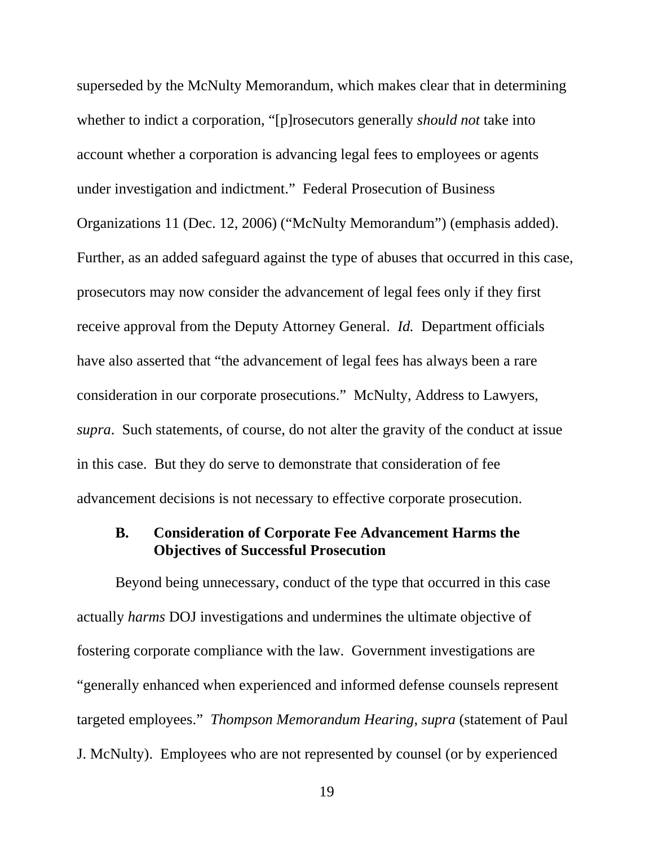superseded by the McNulty Memorandum, which makes clear that in determining whether to indict a corporation, "[p]rosecutors generally *should not* take into account whether a corporation is advancing legal fees to employees or agents under investigation and indictment." Federal Prosecution of Business Organizations 11 (Dec. 12, 2006) ("McNulty Memorandum") (emphasis added). Further, as an added safeguard against the type of abuses that occurred in this case, prosecutors may now consider the advancement of legal fees only if they first receive approval from the Deputy Attorney General. *Id.* Department officials have also asserted that "the advancement of legal fees has always been a rare consideration in our corporate prosecutions." McNulty, Address to Lawyers, *supra*. Such statements, of course, do not alter the gravity of the conduct at issue in this case. But they do serve to demonstrate that consideration of fee advancement decisions is not necessary to effective corporate prosecution.

### **B. Consideration of Corporate Fee Advancement Harms the Objectives of Successful Prosecution**

Beyond being unnecessary, conduct of the type that occurred in this case actually *harms* DOJ investigations and undermines the ultimate objective of fostering corporate compliance with the law. Government investigations are "generally enhanced when experienced and informed defense counsels represent targeted employees." *Thompson Memorandum Hearing*, *supra* (statement of Paul J. McNulty). Employees who are not represented by counsel (or by experienced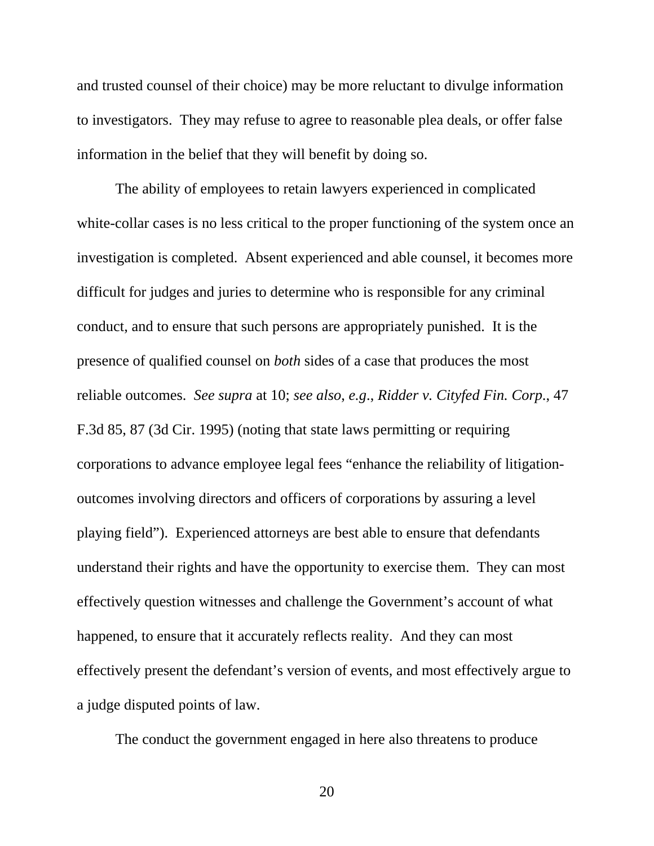and trusted counsel of their choice) may be more reluctant to divulge information to investigators. They may refuse to agree to reasonable plea deals, or offer false information in the belief that they will benefit by doing so.

The ability of employees to retain lawyers experienced in complicated white-collar cases is no less critical to the proper functioning of the system once an investigation is completed. Absent experienced and able counsel, it becomes more difficult for judges and juries to determine who is responsible for any criminal conduct, and to ensure that such persons are appropriately punished. It is the presence of qualified counsel on *both* sides of a case that produces the most reliable outcomes. *See supra* at 10; *see also*, *e.g*., *Ridder v. Cityfed Fin. Corp*., 47 F.3d 85, 87 (3d Cir. 1995) (noting that state laws permitting or requiring corporations to advance employee legal fees "enhance the reliability of litigationoutcomes involving directors and officers of corporations by assuring a level playing field"). Experienced attorneys are best able to ensure that defendants understand their rights and have the opportunity to exercise them. They can most effectively question witnesses and challenge the Government's account of what happened, to ensure that it accurately reflects reality. And they can most effectively present the defendant's version of events, and most effectively argue to a judge disputed points of law.

The conduct the government engaged in here also threatens to produce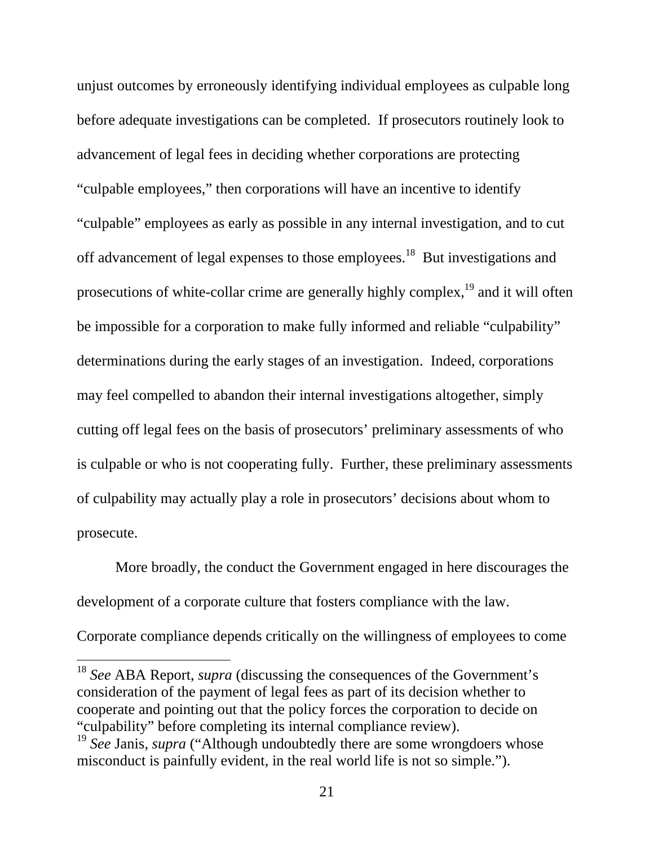unjust outcomes by erroneously identifying individual employees as culpable long before adequate investigations can be completed. If prosecutors routinely look to advancement of legal fees in deciding whether corporations are protecting "culpable employees," then corporations will have an incentive to identify "culpable" employees as early as possible in any internal investigation, and to cut off advancement of legal expenses to those employees.<sup>18</sup> But investigations and prosecutions of white-collar crime are generally highly complex,19 and it will often be impossible for a corporation to make fully informed and reliable "culpability" determinations during the early stages of an investigation. Indeed, corporations may feel compelled to abandon their internal investigations altogether, simply cutting off legal fees on the basis of prosecutors' preliminary assessments of who is culpable or who is not cooperating fully. Further, these preliminary assessments of culpability may actually play a role in prosecutors' decisions about whom to prosecute.

More broadly, the conduct the Government engaged in here discourages the development of a corporate culture that fosters compliance with the law.

Corporate compliance depends critically on the willingness of employees to come

<sup>18</sup> *See* ABA Report, *supra* (discussing the consequences of the Government's consideration of the payment of legal fees as part of its decision whether to cooperate and pointing out that the policy forces the corporation to decide on "culpability" before completing its internal compliance review).

<sup>19</sup> *See* Janis, *supra* ("Although undoubtedly there are some wrongdoers whose misconduct is painfully evident, in the real world life is not so simple.").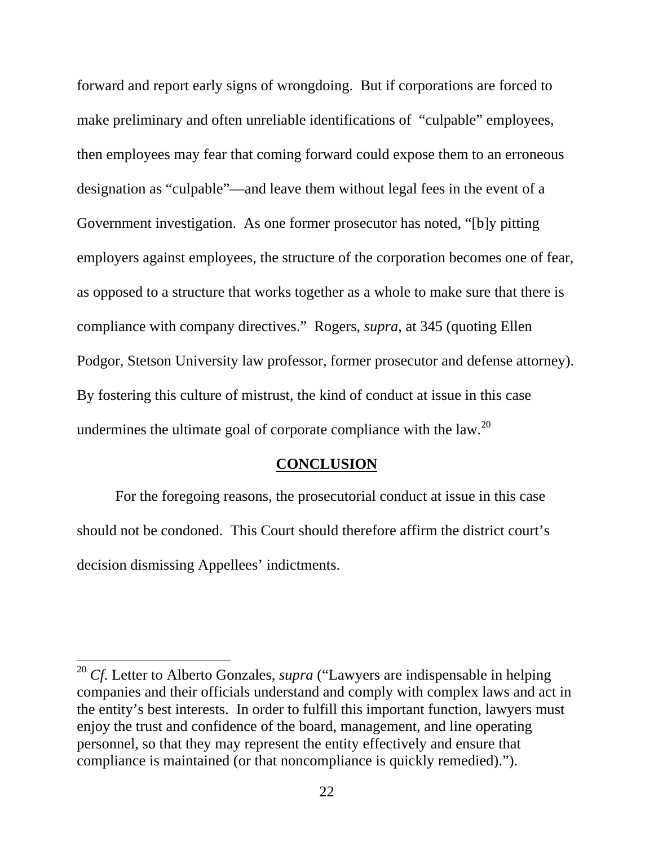forward and report early signs of wrongdoing. But if corporations are forced to make preliminary and often unreliable identifications of "culpable" employees, then employees may fear that coming forward could expose them to an erroneous designation as "culpable"—and leave them without legal fees in the event of a Government investigation. As one former prosecutor has noted, "[b]y pitting employers against employees, the structure of the corporation becomes one of fear, as opposed to a structure that works together as a whole to make sure that there is compliance with company directives." Rogers, *supra*, at 345 (quoting Ellen Podgor, Stetson University law professor, former prosecutor and defense attorney). By fostering this culture of mistrust, the kind of conduct at issue in this case undermines the ultimate goal of corporate compliance with the law.<sup>20</sup>

#### **CONCLUSION**

For the foregoing reasons, the prosecutorial conduct at issue in this case should not be condoned. This Court should therefore affirm the district court's decision dismissing Appellees' indictments.

<sup>&</sup>lt;sup>20</sup> *Cf*. Letter to Alberto Gonzales, *supra* ("Lawyers are indispensable in helping companies and their officials understand and comply with complex laws and act in the entity's best interests. In order to fulfill this important function, lawyers must enjoy the trust and confidence of the board, management, and line operating personnel, so that they may represent the entity effectively and ensure that compliance is maintained (or that noncompliance is quickly remedied).").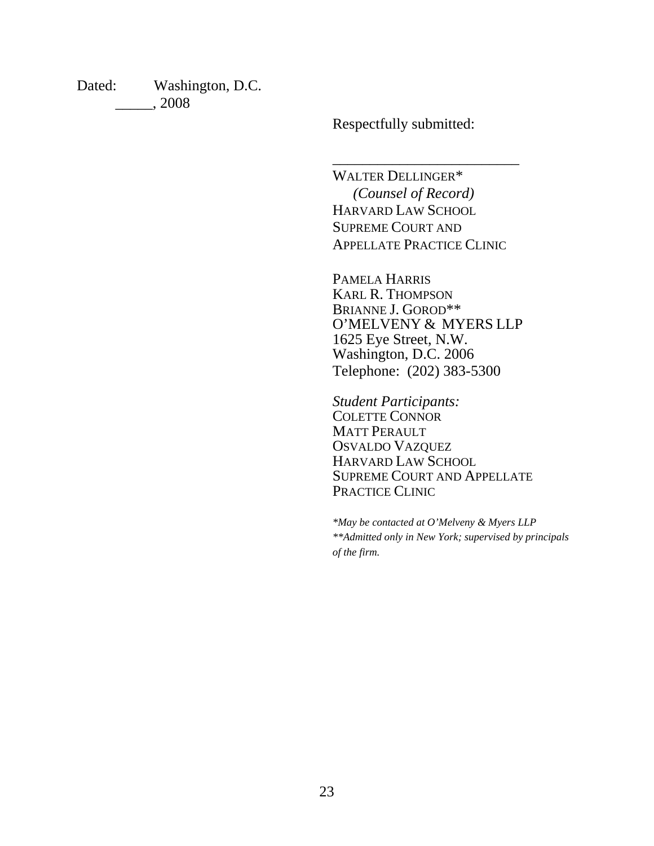Dated: Washington, D.C. \_\_\_\_\_, 2008

Respectfully submitted:

WALTER DELLINGER\*  *(Counsel of Record)*  HARVARD LAW SCHOOL SUPREME COURT AND APPELLATE PRACTICE CLINIC

\_\_\_\_\_\_\_\_\_\_\_\_\_\_\_\_\_\_\_\_\_\_\_\_\_

PAMELA HARRIS KARL R. THOMPSON BRIANNE J. GOROD\*\* O'MELVENY & MYERS LLP 1625 Eye Street, N.W. Washington, D.C. 2006 Telephone: (202) 383-5300

*Student Participants:*  COLETTE CONNOR MATT PERAULT OSVALDO VAZQUEZ HARVARD LAW SCHOOL SUPREME COURT AND APPELLATE PRACTICE CLINIC

*\*May be contacted at O'Melveny & Myers LLP \*\*Admitted only in New York; supervised by principals of the firm.*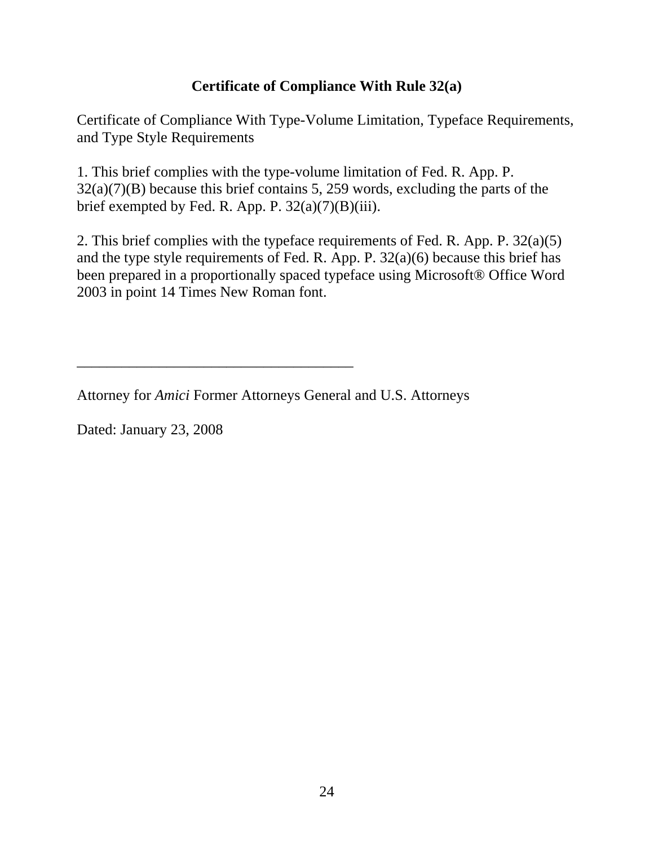## **Certificate of Compliance With Rule 32(a)**

Certificate of Compliance With Type-Volume Limitation, Typeface Requirements, and Type Style Requirements

1. This brief complies with the type-volume limitation of Fed. R. App. P. 32(a)(7)(B) because this brief contains 5, 259 words, excluding the parts of the brief exempted by Fed. R. App. P.  $32(a)(7)(B)(iii)$ .

2. This brief complies with the typeface requirements of Fed. R. App. P. 32(a)(5) and the type style requirements of Fed. R. App. P. 32(a)(6) because this brief has been prepared in a proportionally spaced typeface using Microsoft® Office Word 2003 in point 14 Times New Roman font.

Attorney for *Amici* Former Attorneys General and U.S. Attorneys

\_\_\_\_\_\_\_\_\_\_\_\_\_\_\_\_\_\_\_\_\_\_\_\_\_\_\_\_\_\_\_\_\_\_\_\_\_

Dated: January 23, 2008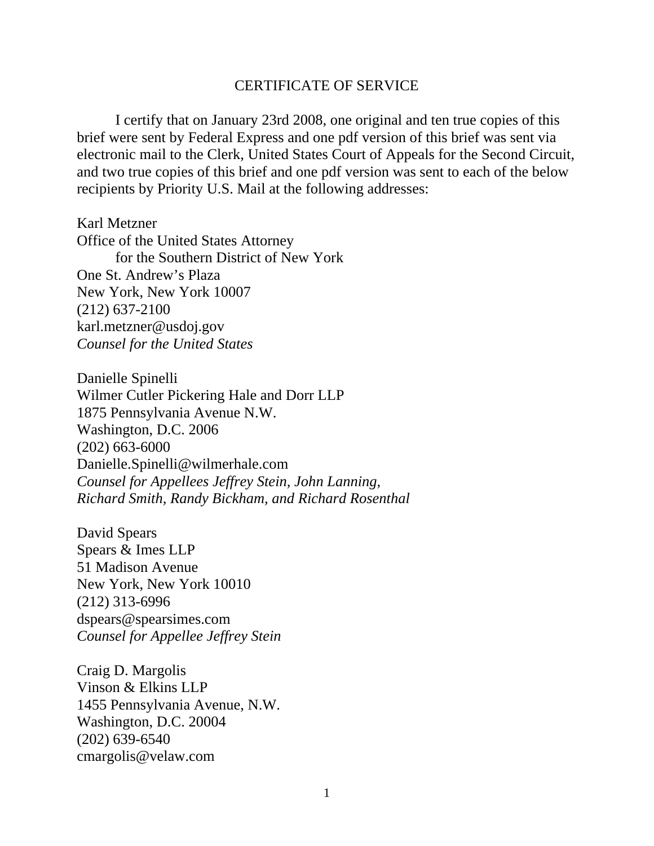#### CERTIFICATE OF SERVICE

 I certify that on January 23rd 2008, one original and ten true copies of this brief were sent by Federal Express and one pdf version of this brief was sent via electronic mail to the Clerk, United States Court of Appeals for the Second Circuit, and two true copies of this brief and one pdf version was sent to each of the below recipients by Priority U.S. Mail at the following addresses:

Karl Metzner Office of the United States Attorney for the Southern District of New York One St. Andrew's Plaza New York, New York 10007 (212) 637-2100 karl.metzner@usdoj.gov *Counsel for the United States* 

Danielle Spinelli Wilmer Cutler Pickering Hale and Dorr LLP 1875 Pennsylvania Avenue N.W. Washington, D.C. 2006 (202) 663-6000 Danielle.Spinelli@wilmerhale.com *Counsel for Appellees Jeffrey Stein, John Lanning, Richard Smith, Randy Bickham, and Richard Rosenthal* 

David Spears Spears & Imes LLP 51 Madison Avenue New York, New York 10010 (212) 313-6996 dspears@spearsimes.com *Counsel for Appellee Jeffrey Stein* 

Craig D. Margolis Vinson & Elkins LLP 1455 Pennsylvania Avenue, N.W. Washington, D.C. 20004 (202) 639-6540 cmargolis@velaw.com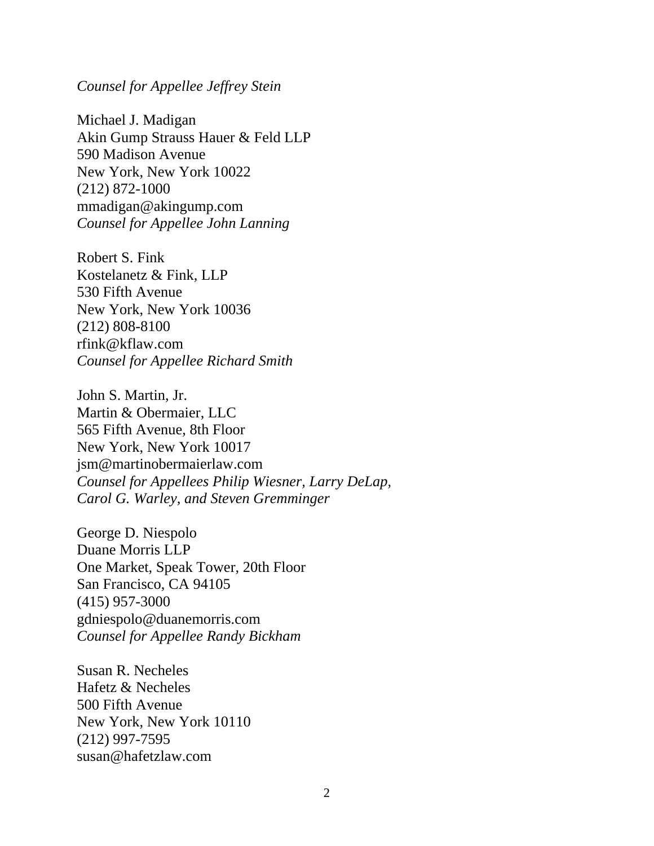#### *Counsel for Appellee Jeffrey Stein*

Michael J. Madigan Akin Gump Strauss Hauer & Feld LLP 590 Madison Avenue New York, New York 10022 (212) 872-1000 mmadigan@akingump.com *Counsel for Appellee John Lanning* 

Robert S. Fink Kostelanetz & Fink, LLP 530 Fifth Avenue New York, New York 10036 (212) 808-8100 rfink@kflaw.com *Counsel for Appellee Richard Smith* 

John S. Martin, Jr. Martin & Obermaier, LLC 565 Fifth Avenue, 8th Floor New York, New York 10017 jsm@martinobermaierlaw.com *Counsel for Appellees Philip Wiesner, Larry DeLap, Carol G. Warley, and Steven Gremminger* 

George D. Niespolo Duane Morris LLP One Market, Speak Tower, 20th Floor San Francisco, CA 94105 (415) 957-3000 gdniespolo@duanemorris.com *Counsel for Appellee Randy Bickham* 

Susan R. Necheles Hafetz & Necheles 500 Fifth Avenue New York, New York 10110 (212) 997-7595 susan@hafetzlaw.com